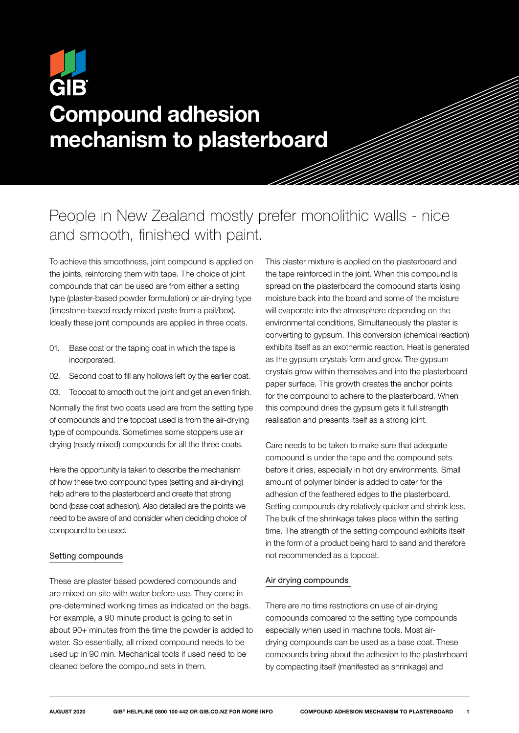# GIB Compound adhesion mechanism to plasterboard

## People in New Zealand mostly prefer monolithic walls - nice and smooth, finished with paint.

To achieve this smoothness, joint compound is applied on the joints, reinforcing them with tape. The choice of joint compounds that can be used are from either a setting type (plaster-based powder formulation) or air-drying type (limestone-based ready mixed paste from a pail/box). Ideally these joint compounds are applied in three coats.

- 01. Base coat or the taping coat in which the tape is incorporated.
- 02. Second coat to fill any hollows left by the earlier coat.
- 03. Topcoat to smooth out the joint and get an even finish.

Normally the first two coats used are from the setting type of compounds and the topcoat used is from the air-drying type of compounds. Sometimes some stoppers use air drying (ready mixed) compounds for all the three coats.

Here the opportunity is taken to describe the mechanism of how these two compound types (setting and air-drying) help adhere to the plasterboard and create that strong bond (base coat adhesion). Also detailed are the points we need to be aware of and consider when deciding choice of compound to be used.

#### Setting compounds

These are plaster based powdered compounds and are mixed on site with water before use. They come in pre-determined working times as indicated on the bags. For example, a 90 minute product is going to set in about 90+ minutes from the time the powder is added to water. So essentially, all mixed compound needs to be used up in 90 min. Mechanical tools if used need to be cleaned before the compound sets in them.

This plaster mixture is applied on the plasterboard and the tape reinforced in the joint. When this compound is spread on the plasterboard the compound starts losing moisture back into the board and some of the moisture will evaporate into the atmosphere depending on the environmental conditions. Simultaneously the plaster is converting to gypsum. This conversion (chemical reaction) exhibits itself as an exothermic reaction. Heat is generated as the gypsum crystals form and grow. The gypsum crystals grow within themselves and into the plasterboard paper surface. This growth creates the anchor points for the compound to adhere to the plasterboard. When this compound dries the gypsum gets it full strength realisation and presents itself as a strong joint.

Care needs to be taken to make sure that adequate compound is under the tape and the compound sets before it dries, especially in hot dry environments. Small amount of polymer binder is added to cater for the adhesion of the feathered edges to the plasterboard. Setting compounds dry relatively quicker and shrink less. The bulk of the shrinkage takes place within the setting time. The strength of the setting compound exhibits itself in the form of a product being hard to sand and therefore not recommended as a topcoat.

### Air drying compounds

There are no time restrictions on use of air-drying compounds compared to the setting type compounds especially when used in machine tools. Most airdrying compounds can be used as a base coat. These compounds bring about the adhesion to the plasterboard by compacting itself (manifested as shrinkage) and